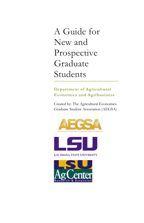A Guide for New and Prospective Graduate Students

### **Department of Agricultural Economics and Agribusiness**

Created by: The Agricultural Economics Graduate Student Association (AEGSA)





LOUISIANA STATE UNIVERSITY

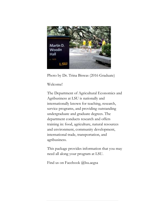

Photo by Dr. Trina Biswas (2016 Graduate)

Welcome!

The Department of Agricultural Economics and Agribusiness at LSU is nationally and internationally known for teaching, research, service programs, and providing outstanding undergraduate and graduate degrees. The department conducts research and offers training in: food, agriculture, natural resources and environment, community development, international trade, transportation, and agribusiness.

This package provides information that you may need all along your program at LSU.

Find us on Facebook @lsu.aegsa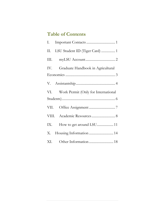# **Table of Contents**

| I.   |                                         |  |
|------|-----------------------------------------|--|
| II.  | LSU Student ID (Tiger Card)  1          |  |
| III. |                                         |  |
|      | IV. Graduate Handbook in Agricultural   |  |
|      |                                         |  |
|      |                                         |  |
|      | VI. Work Permit (Only for International |  |
|      |                                         |  |
|      |                                         |  |
|      | VIII. Academic Resources 8              |  |
|      |                                         |  |
|      | X. Housing Information  14              |  |
|      |                                         |  |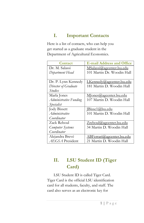# <span id="page-3-0"></span>**I. Important Contacts**

Here is a list of contacts, who can help you get started as a graduate student in the Department of Agricultural Economics.

| Contact                | <b>E-mail Address and Office</b> |
|------------------------|----------------------------------|
| Dr. M. Salassi         | MSalassi@agcenter.lsu.edu        |
| Department Head        | 101 Martin Dr. Woodin Hall       |
|                        |                                  |
| Dr. P. Lynn Kennedy    | LKennedy@agcenter.lsu.edu        |
| Director of Graduate   | 181 Martin D. Woodin Hall        |
| <i>Studies</i>         |                                  |
| Marla Jones            | Mones@agcenter.lsu.edu           |
| Administrative Funding | 107 Martin D. Woodin Hall        |
| Specialist             |                                  |
| <b>Jody Bissett</b>    | [Bisse1@]su.edu                  |
| <i>Administrative</i>  | 101 Martin D. Woodin Hall        |
| Coordinator            |                                  |
| Zack Reboul            | Zreboul@agcenter.lsu.edu         |
| Computer Systems       | 34 Martin D. Woodin Hall         |
| Coordinator            |                                  |
| Alejandra Brevé        | ABFerrari@agcenter.lsu.edu       |
| AEGSA President        | 21 Martin D. Woodin Hall         |

# <span id="page-3-1"></span>**II. LSU Student ID (Tiger Card)**

LSU Student ID is called Tiger Card. Tiger Card is the official LSU identification card for all students, faculty, and staff. The card also serves as an electronic key for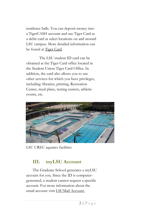residence halls. You can deposit money into a TigerCASH account and use Tiger Card as a debit card at select locations on and around LSU campus. More detailed information can be found at [Tiger Card.](http://as.lsu.edu/tiger-card)

The LSU student ID card can be obtained at the Tiger Card office located in the Student Union Tiger Card Office. In addition, the card also allows you to use other services for which you have privileges, including: libraries, printing, Recreation Center, meal plans, testing centers, athletic events, etc.



LSU UREC aquatics facilities

# <span id="page-4-0"></span>**III. myLSU Account**

The Graduate School generates a myLSU account for you. Since the ID is computergenerated, a student cannot request a specific account. For more information about the email account visi[t LSUMail Account.](https://grok.lsu.edu/article.aspx?articleid=15905)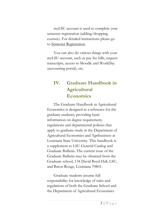myLSU account is used to complete your semester registration (adding/dropping courses). For detailed instructions please go to [Semester Registration.](http://www.lsu.edu/administration/ofa/oas/bur/registration.php)

You can also do various things with your myLSU account, such as pay fee bills, request transcripts, access to Moodle and WorkDay (accounting portal), etc.

# <span id="page-5-0"></span>**IV. Graduate Handbook in Agricultural Economics**

The Graduate Handbook in Agricultural Economics is designed as a reference for the graduate students, providing basic information on degree requirement, regulations and departmental policies that apply to graduate study in the Department of Agricultural Economics and Agribusiness at Louisiana State University. This handbook is a supplement to LSU General Catalog and Graduate Bulletin. The current issue of the Graduate Bulletin may be obtained from the Graduate school, 134 David Boyd Hall, LSU, and Baton Rouge, Louisiana 70803.

Graduate students assume full responsibility for knowledge of rules and regulations of both the Graduate School and the Department of Agricultural Economics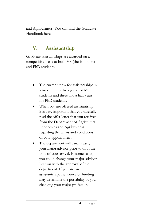and Agribusiness. You can find the Graduate Handboo[k here.](http://www.lsu.edu/agriculture/agecon/graduate/Files/Graduate_Handbook_Fall_2015.pdf)

## <span id="page-6-0"></span>**V. Assistantship**

Graduate assistantships are awarded on a competitive basis to both MS (thesis option) and PhD students.

- The current term for assistantships is a maximum of two years for MS students and three and a half years for PhD students.
- When you are offered assistantship, it is very important that you carefully read the offer letter that you received from the Department of Agricultural Economics and Agribusiness regarding the terms and conditions of your appointment.
- The department will usually assign your major advisor prior to or at the time of your arrival. In some cases, you could change your major advisor later on with the approval of the department. If you are on assistantship, the source of funding may determine the possibility of you changing your major professor.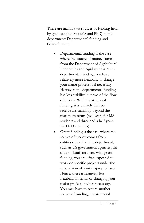There are mainly two sources of funding held by graduate students (MS and PhD) in the department: Departmental funding and Grant funding.

- Departmental funding is the case where the source of money comes from the Department of Agricultural Economics and Agribusiness. With departmental funding, you have relatively more flexibility to change your major professor if necessary. However, the departmental funding has less stability in terms of the flow of money. With departmental funding, it is unlikely that you receive assistantship beyond the maximum terms (two years for MS students and three and a half years for Ph.D students).
- Grant funding is the case where the source of money comes from entities other than the department, such as US government agencies, the state of Louisiana, etc. With grant funding, you are often expected to work on specific projects under the supervision of your major professor. Hence, there is relatively less flexibility in terms of changing your major professor when necessary. You may have to secure another source of funding, departmental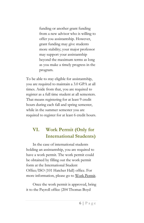funding or another grant funding from a new advisor who is willing to offer you assistantship. However, grant funding may give students more stability; your major professor may support your assistantship beyond the maximum terms as long as you make a timely progress in the program.

To be able to stay eligible for assistantship, you are required to maintain a 3.0 GPA at all times. Aside from that, you are required to register as a full time student at all semesters. That means registering for at least 9 credit hours during each fall and spring semester, while in the summer semester you are required to register for at least 6 credit hours.

# <span id="page-8-0"></span>**VI. Work Permit (Only for International Students)**

In the case of international students holding an assistantship, you are required to have a work permit. The work permit could be obtained by filling out the work permit form at the International Student Office/ISO (101 Hatcher Hall) office. For more information, please go to [Work Permit.](http://www.lsu.edu/intlpro/is/employment/student/index.php)

Once the work permit is approved, bring it to the Payroll office (204 Thomas Boyd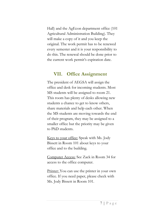Hall) and the AgEcon department office (101 Agricultural Administration Building). They will make a copy of it and you keep the original. The work permit has to be renewed every semester and it is your responsibility to do this. The renewal should be done prior to the current work permit's expiration date.

### <span id="page-9-0"></span>**VII. Office Assignment**

The president of AEGSA will assign the office and desk for incoming students. Most MS students will be assigned to room 21. This room has plenty of desks allowing new students a chance to get to know others, share materials and help each other. When the MS students are moving towards the end of their program, they may be assigned to a smaller office but the priority may be given to PhD students.

Keys to your office: Speak with Ms. Jody Bissett in Room 101 about keys to your office and to the building.

Computer Access: See Zack in Room 34 for access to the office computer.

Printer: You can use the printer in your own office. If you need paper, please check with Ms. Jody Bissett in Room 101.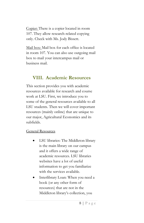Copier: There is a copier located in room 107. They allow research-related copying only. Check with Ms. Jody Bissett.

Mail box: Mail box for each office is located in room 107. You can also use outgoing mail box to mail your intercampus mail or business mail.

## <span id="page-10-0"></span>**VIII. Academic Resources**

This section provides you with academic resources available for research and course work at LSU. First, we introduce you to some of the general resources available to all LSU students. Then we will cover important resources (mainly online) that are unique to our major, Agricultural Economics and its subfields.

#### General Resources

- LSU libraries: The Middleton library is the main library on our campus and it offers a wide range of academic resources. LSU libraries websites have a lot of useful information to get you familiarize with the services available.
- Interlibrary Loan: When you need a book (or any other form of resources) that are not in the Middleton library's collection, you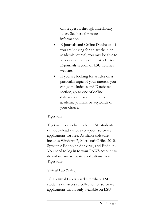can request it through Interlibrary Loan. See here for more information.

- E-journals and Online Databases: If you are looking for an article in an academic journal, you may be able to access a pdf copy of the article from E-journals section of LSU libraries website.
- If you are looking for articles on a particular topic of your interest, you can go to Indexes and Databases section, go to one of online databases and search multiple academic journals by keywords of your choice.

#### Tigerware

Tigerware is a website where LSU students can download various computer software applications for free. Available software includes Windows 7, Microsoft Office 2010, Symantec Endpoint Antivirus, and Endnote. You need to log in to your PAWS account to download any software applications from [Tigerware.](https://tigerware.lsu.edu/)

#### Virtual Lab (V-lab)

LSU Virtual Lab is a website where LSU students can access a collection of software applications that is only available on LSU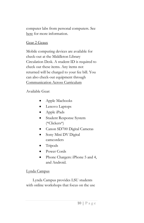computer labs from personal computers. See [here](https://grok.lsu.edu/Article.aspx?articleId=16074) for more information.

#### Gear 2 Geaux

Mobile computing devices are available for check-out at the Middleton Library Circulation Desk. A student ID is required to check out these items. Any items not returned will be charged to your fee bill. You can also check-out equipment through [Communication Across Curriculum](https://sites01.lsu.edu/wp/cxc/studio-policies-equipment-check-out-procedures/)

### Available Gear:

- Apple Macbooks
- Lenovo Laptops
- Apple iPads
- Student Response System (\*Clickers\*)
- Canon SD700 Digital Cameras
- Sony Mini DV Digital camcorders
- Tripods
- Power Cords
- Phone Chargers: iPhone 5 and 4, and Android.

#### Lynda Campus

Lynda Campus provides LSU students with online workshops that focus on the use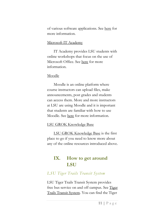of various software applications. See [here](https://grok.lsu.edu/article.aspx?articleid=16539) for more information.

#### Microsoft IT Academy

IT Academy provides LSU students with online workshops that focus on the use of Microsoft Office. See [here](https://grok.lsu.edu/article.aspx?articleid=12989) for more information.

#### Moodle

Moodle is an online platform where course instructors can upload files, make announcements, post grades and students can access them. More and more instructors at LSU are using Moodle and it is important that students are familiar with how to use Moodle. See [here](http://www.lsu.edu/it_services/moodle/index.php) for more information.

#### LSU GROK Knowledge Base

[LSU GROK Knowledge Base](https://grok.lsu.edu/article.aspx?articleid=12989) is the first place to go if you need to know more about any of the online resources introduced above.

## <span id="page-13-0"></span>**IX. How to get around LSU**

### *LSU Tiger Trails Transit System*

LSU Tiger Trails Transit System provides free bus service on and off campus. See Tiger [Trails Transit System.](https://sites01.lsu.edu/wp/tigertrails/) You can find the Tiger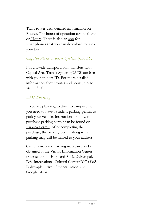Trails routes with detailed information on [Routes.](https://sites01.lsu.edu/wp/tigertrails/category/bus-routes/) The hours of operation can be found on [Hours.](https://sites01.lsu.edu/wp/tigertrails/times-of-operation/) There is also a[n app](https://lsu.transloc.com/info/mobile) for smartphones that you can download to track your bus.

## *Capital Area Transit System (CATS)*

For citywide transportation, transfers with Capital Area Transit System (CATS) are free with your student ID. For more detailed information about routes and hours, please visit [CATS.](https://www.brcats.com/)

## *LSU Parking*

If you are planning to drive to campus, then you need to have a student-parking permit to park your vehicle. Instructions on how to purchase parking permit can be found on [Parking Permit.](http://www.lsu.edu/parking/parking/studentpermit.php) After completing the purchase, the parking permit along with parking map will be mailed to your address.

Campus map and parking map can also be obtained at the Visitor Information Center (intersection of Highland Rd & Dalrympale Dr), International Cultural Center/ICC (3365 Dalrymple Drive), Student Union, and Google Maps.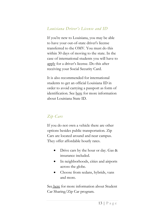### *Louisiana Driver's License and ID*

If you're new to Louisiana, you may be able to have your out-of-state driver's license transferred to the OMV. You must do this within 30 days of moving to the state. In the case of international students you will have to [apply](https://www.dmv.org/la-louisiana/apply-license.php#Apply-for-a-Drivers-License-in-LA) for a driver's license. Do this after receiving your Social Security Card.

It is also recommended for international students to get an official Louisiana ID in order to avoid carrying a passport as form of identification. See [here](https://www.dmv.org/la-louisiana/id-cards.php) for more information about Louisiana State ID.

## *Zip Cars*

If you do not own a vehicle there are other options besides public transportation. Zip Cars are located around and near campus. They offer affordable hourly rates.

- Drive cars by the hour or day. Gas & insurance included.
- In neighborhoods, cities and airports across the globe.
- Choose from sedans, hybrids, vans and more.

See [here](http://www.zipcar.com/universities/louisiana-state-university) for more information about Student Car Sharing/Zip Car program.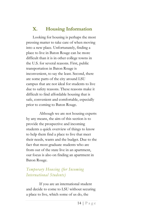# <span id="page-16-0"></span>**X. Housing Information**

Looking for housing is perhaps the most pressing matter to take care of when moving into a new place. Unfortunately, finding a place to live in Baton Rouge can be more difficult than it is in other college towns in the U.S. for several reasons. First, public transportation in Baton Rouge is inconvenient, to say the least. Second, there are some parts of the city around LSU campus that are not ideal for students to live due to safety reasons. These reasons make it difficult to find affordable housing that is safe, convenient and comfortable, especially prior to coming to Baton Rouge.

Although we are not housing experts by any means, the aim of this section is to provide the prospective and incoming students a quick overview of things to know to help them find a place to live that meet their needs, wants and the budget. Due to the fact that most graduate students who are from out of the state live in an apartment, our focus is also on finding an apartment in Baton Rouge.

## *Temporary Housing (for Incoming International Students)*

If you are an international student and decide to come to LSU without securing a place to live, which some of us do, the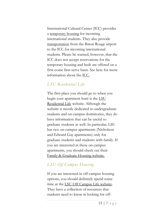International Cultural Center (ICC) provides a [temporary housing](http://www.lsu.edu/intlpro/icc/housing.php) for incoming international students. They also provide [transportation](http://www.lsu.edu/intlpro/icc/arrival-services.php) from the Baton Rouge airport to the ICC for incoming international students. Please be warned, however, that the ICC does not accept reservations for the temporary housing and beds are offered on a first-come first-serve basis. See here for more information about the [ICC.](http://www.lsu.edu/intlpro/icc/index.php)

### *LSU Residential Life*

The first place you should go to when you begin your apartment hunt is the LSU [Residential Life](https://sites01.lsu.edu/wp/reslife/) website. Although the website is mostly dedicated to undergraduate students and on-campus dormitories, they do have information that can be useful to graduate students as well. In particular, LSU has two on-campus apartments (Nicholson and Edward Gay apartments) only for graduate students and students with family. If you are interested in these on-campus apartments, you should check out their [Family & Graduate Housing website.](https://sites01.lsu.edu/wp/reslife/family-graduate-apartments/)

## *LSU Off Campus Housing*

If you are interested in off-campus housing options, you should definitely spend some time at th[e LSU Off Campus Life website.](https://offcampushousing.lsu.edu/) They have a collection of resources that students need to know in looking for off-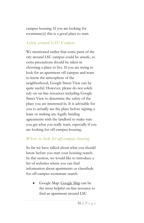campus housing. If you are looking for roommate(s) this is a good place to start.

### *Safety around LSU Campus*

We mentioned earlier that some parts of the city around LSU campus could be unsafe, so extra precautions should be taken in choosing a place to live. If you are trying to look for an apartment off-campus and want to know the atmosphere of the neighborhood, Google Street View can be quite useful. However, please do not solely rely on on-line resources including Google Street View to determine the safety of the place you are interested in. It is advisable for you to actually see the place before signing a lease or making any legally binding agreements with the landlord to make sure you get what you really want, especially if you are looking for off-campus housing.

### *Where to look for off-campus housing*

So far we have talked about what you should know before you start your housing search. In this section, we would like to introduce a list of websites where you can find information about apartments or classifieds for off-campus roommate search.

 Google Map: [Google Map](https://www.google.com/maps) can be the most helpful on-line resource to find an apartment around LSU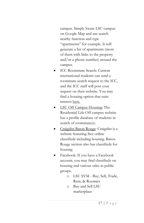campus. Simply locate LSU campus on Google Map and use search nearby function and type "apartments" for example. It will generate a list of apartments (most of them with links to the property and/or a phone number) around the campus.

- ICC Roommate Search: Current international students can send a roommate search request to the ICC, and the ICC staff will post your request on their website. You may find a housing option that suits interest [here.](http://www.lsu.edu/intlpro/icc/roommate.php)
- [LSU Off Campus Housing:](https://offcampushousing.lsu.edu/) The Residential Life Off campus website has a profile database of students in search of roommate(s).
- [Craigslist Baton Rouge:](https://batonrouge.craigslist.org/) Craigslist is a website featuring free online classifieds including housing. Baton Rouge section also has classifieds for housing
- Facebook: If you have a Facebook account, you may find classifieds on housing and various sales in public groups.
	- o LSU SVM Buy, Sell, Trade, Rent, & Roomies
	- o Buy and Sell LSU marketplace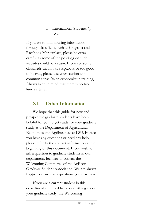#### o International Students @ LSU

If you are to find housing information through classifieds, such as Craigslist and Facebook Marketplace, please be extra careful as some of the postings on such websites could be a scam. If you see some classifieds that looks suspicious or too good to be true, please use your caution and common sense (as an economist in training). Always keep in mind that there is no free lunch after all.

## <span id="page-20-0"></span>**XI. Other Information**

We hope that this guide for new and prospective graduate students have been helpful for you to get ready for your graduate study at the Department of Agricultural Economics and Agribusiness at LSU. In case you have any questions or need any help, please refer to the contact information at the beginning of this document. If you wish to ask a question to graduate students in our department, feel free to contact the Welcoming Committee of the AgEcon Graduate Student Association. We are always happy to answer any questions you may have.

If you are a current student in this department and need help on anything about your graduate study, the Welcoming